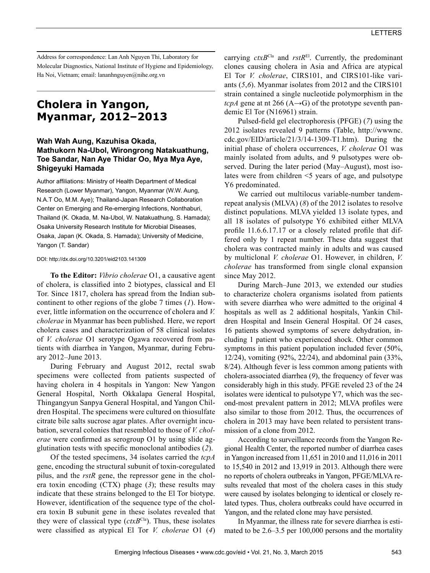Address for correspondence: Lan Anh Nguyen Thi, Laboratory for Molecular Diagnostics, National Institute of Hygiene and Epidemiology, Ha Noi, Vietnam; email: lananhnguyen@nihe.org.vn

# **Cholera in Yangon, Myanmar, 2012–2013**

## **Wah Wah Aung, Kazuhisa Okada, Mathukorn Na-Ubol, Wirongrong Natakuathung, Toe Sandar, Nan Aye Thidar Oo, Mya Mya Aye, Shigeyuki Hamada**

Author affiliations: Ministry of Health Department of Medical Research (Lower Myanmar), Yangon, Myanmar (W.W. Aung, N.A.T Oo, M.M. Aye); Thailand-Japan Research Collaboration Center on Emerging and Re-emerging Infections, Nonthaburi, Thailand (K. Okada, M. Na-Ubol, W. Natakuathung, S. Hamada); Osaka University Research Institute for Microbial Diseases, Osaka, Japan (K. Okada, S. Hamada); University of Medicine, Yangon (T. Sandar)

#### DOI: http://dx.doi.org/10.3201/eid2103.141309

**To the Editor:** *Vibrio cholerae* O1, a causative agent of cholera, is classified into 2 biotypes, classical and El Tor. Since 1817, cholera has spread from the Indian subcontinent to other regions of the globe 7 times (*1*). However, little information on the occurrence of cholera and *V. cholerae* in Myanmar has been published. Here, we report cholera cases and characterization of 58 clinical isolates of *V. cholerae* O1 serotype Ogawa recovered from patients with diarrhea in Yangon, Myanmar, during February 2012–June 2013.

During February and August 2012, rectal swab specimens were collected from patients suspected of having cholera in 4 hospitals in Yangon: New Yangon General Hospital, North Okkalapa General Hospital, Thingangyun Sanpya General Hospital, and Yangon Children Hospital. The specimens were cultured on thiosulfate citrate bile salts sucrose agar plates. After overnight incubation, several colonies that resembled to those of *V. cholerae* were confirmed as serogroup O1 by using slide agglutination tests with specific monoclonal antibodies (*2*).

Of the tested specimens, 34 isolates carried the *tcpA* gene, encoding the structural subunit of toxin-coregulated pilus, and the *rstR* gene, the repressor gene in the cholera toxin encoding (CTX) phage (*3*); these results may indicate that these strains belonged to the El Tor biotype. However, identification of the sequence type of the cholera toxin B subunit gene in these isolates revealed that they were of classical type (*ctxB*<sup>Cla</sup>). Thus, these isolates were classified as atypical El Tor *V. cholerae* O1 (*4*)

carrying  $ctxB<sup>Cla</sup>$  and  $rstR<sup>El</sup>$ . Currently, the predominant clones causing cholera in Asia and Africa are atypical El Tor *V. cholerae*, CIRS101, and CIRS101-like variants (*5*,*6*). Myanmar isolates from 2012 and the CIRS101 strain contained a single nucleotide polymorphism in the *tcpA* gene at nt 266 ( $A \rightarrow G$ ) of the prototype seventh pandemic El Tor (N16961) strain.

Pulsed-field gel electrophoresis (PFGE) (*7*) using the 2012 isolates revealed 9 patterns (Table, http://wwwnc. cdc.gov/EID/article/21/3/14-1309-T1.htm). During the initial phase of cholera occurrences, *V. cholerae* O1 was mainly isolated from adults, and 9 pulsotypes were observed. During the later period (May–August), most isolates were from children <5 years of age, and pulsotype Y6 predominated.

We carried out multilocus variable-number tandemrepeat analysis (MLVA) (*8*) of the 2012 isolates to resolve distinct populations. MLVA yielded 13 isolate types, and all 18 isolates of pulsotype Y6 exhibited either MLVA profile 11.6.6.17.17 or a closely related profile that differed only by 1 repeat number. These data suggest that cholera was contracted mainly in adults and was caused by multiclonal *V. cholerae* O1. However, in children, *V. cholerae* has transformed from single clonal expansion since May 2012.

During March–June 2013, we extended our studies to characterize cholera organisms isolated from patients with severe diarrhea who were admitted to the original 4 hospitals as well as 2 additional hospitals, Yankin Children Hospital and Insein General Hospital. Of 24 cases, 16 patients showed symptoms of severe dehydration, including 1 patient who experienced shock. Other common symptoms in this patient population included fever (50%, 12/24), vomiting (92%, 22/24), and abdominal pain (33%, 8/24). Although fever is less common among patients with cholera-associated diarrhea (*9*), the frequency of fever was considerably high in this study. PFGE reveled 23 of the 24 isolates were identical to pulsotype Y7, which was the second-most prevalent pattern in 2012; MLVA profiles were also similar to those from 2012. Thus, the occurrences of cholera in 2013 may have been related to persistent transmission of a clone from 2012.

According to surveillance records from the Yangon Regional Health Center, the reported number of diarrhea cases in Yangon increased from 11,651 in 2010 and 11,016 in 2011 to 15,540 in 2012 and 13,919 in 2013. Although there were no reports of cholera outbreaks in Yangon, PFGE/MLVA results revealed that most of the cholera cases in this study were caused by isolates belonging to identical or closely related types. Thus, cholera outbreaks could have occurred in Yangon, and the related clone may have persisted.

In Myanmar, the illness rate for severe diarrhea is estimated to be 2.6–3.5 per 100,000 persons and the mortality